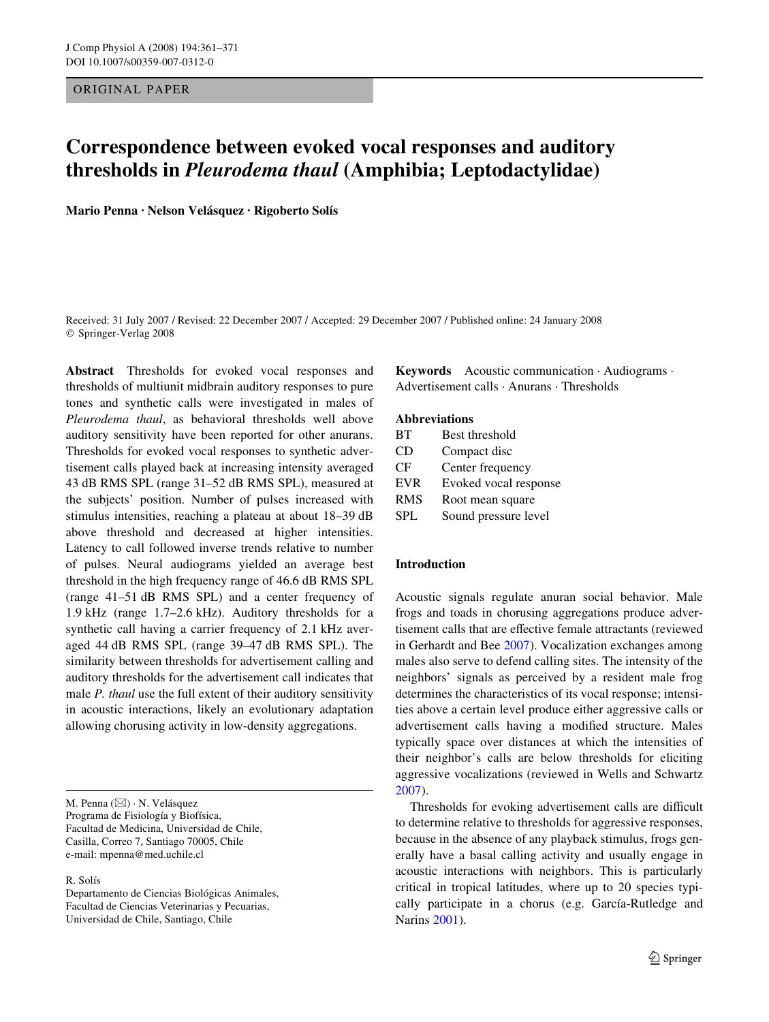ORIGINAL PAPER

# **Correspondence between evoked vocal responses and auditory thresholds in** *Pleurodema thaul* **(Amphibia; Leptodactylidae)**

**Mario Penna · Nelson Velásquez · Rigoberto Solís** 

Received: 31 July 2007 / Revised: 22 December 2007 / Accepted: 29 December 2007 / Published online: 24 January 2008 © Springer-Verlag 2008

**Abstract** Thresholds for evoked vocal responses and thresholds of multiunit midbrain auditory responses to pure tones and synthetic calls were investigated in males of *Pleurodema thaul*, as behavioral thresholds well above auditory sensitivity have been reported for other anurans. Thresholds for evoked vocal responses to synthetic advertisement calls played back at increasing intensity averaged 43 dB RMS SPL (range 31–52 dB RMS SPL), measured at the subjects' position. Number of pulses increased with stimulus intensities, reaching a plateau at about 18–39 dB above threshold and decreased at higher intensities. Latency to call followed inverse trends relative to number of pulses. Neural audiograms yielded an average best threshold in the high frequency range of 46.6 dB RMS SPL (range 41–51 dB RMS SPL) and a center frequency of 1.9 kHz (range 1.7–2.6 kHz). Auditory thresholds for a synthetic call having a carrier frequency of 2.1 kHz averaged 44 dB RMS SPL (range 39–47 dB RMS SPL). The similarity between thresholds for advertisement calling and auditory thresholds for the advertisement call indicates that male *P. thaul* use the full extent of their auditory sensitivity in acoustic interactions, likely an evolutionary adaptation allowing chorusing activity in low-density aggregations.

M. Penna (&) · N. Velásquez Programa de Fisiología y Biofísica, Facultad de Medicina, Universidad de Chile, Casilla, Correo 7, Santiago 70005, Chile e-mail: mpenna@med.uchile.cl

R. Solís

Departamento de Ciencias Biológicas Animales, Facultad de Ciencias Veterinarias y Pecuarias, Universidad de Chile, Santiago, Chile

**Keywords** Acoustic communication · Audiograms · Advertisement calls · Anurans · Thresholds

# **Abbreviations**

| <b>BT</b>  | Best threshold        |
|------------|-----------------------|
| CD         | Compact disc          |
| CF         | Center frequency      |
| <b>EVR</b> | Evoked vocal response |
| <b>RMS</b> | Root mean square      |
| SPL        | Sound pressure level  |

# **Introduction**

Acoustic signals regulate anuran social behavior. Male frogs and toads in chorusing aggregations produce advertisement calls that are effective female attractants (reviewed in Gerhardt and Bee [2007](#page-9-0)). Vocalization exchanges among males also serve to defend calling sites. The intensity of the neighbors' signals as perceived by a resident male frog determines the characteristics of its vocal response; intensities above a certain level produce either aggressive calls or advertisement calls having a modified structure. Males typically space over distances at which the intensities of their neighbor's calls are below thresholds for eliciting aggressive vocalizations (reviewed in Wells and Schwartz [2007](#page-10-0)).

Thresholds for evoking advertisement calls are difficult to determine relative to thresholds for aggressive responses, because in the absence of any playback stimulus, frogs generally have a basal calling activity and usually engage in acoustic interactions with neighbors. This is particularly critical in tropical latitudes, where up to 20 species typically participate in a chorus (e.g. García-Rutledge and Narins [2001](#page-9-1)).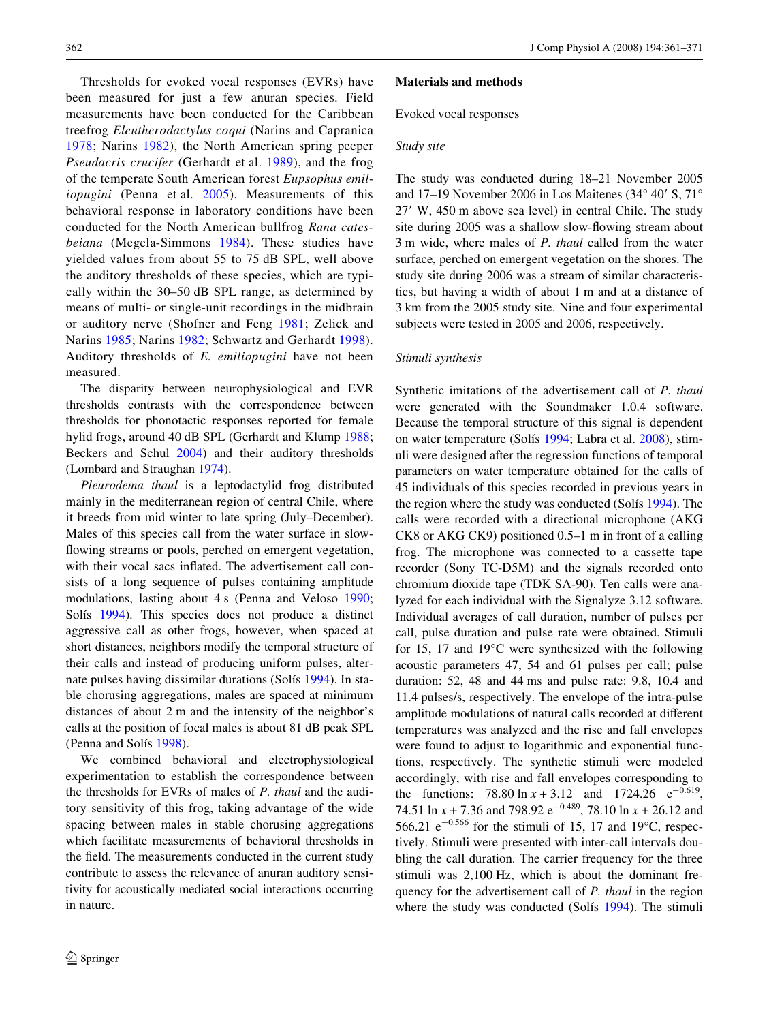Thresholds for evoked vocal responses (EVRs) have been measured for just a few anuran species. Field measurements have been conducted for the Caribbean treefrog *Eleutherodactylus coqui* (Narins and Capranica [1978;](#page-9-2) Narins [1982](#page-9-3)), the North American spring peeper *Pseudacris crucifer* (Gerhardt et al. [1989](#page-9-4)), and the frog of the temperate South American forest *Eupsophus emiliopugini* (Penna et al. [2005\)](#page-10-1). Measurements of this behavioral response in laboratory conditions have been conducted for the North American bullfrog *Rana catesbeiana* (Megela-Simmons [1984](#page-9-5)). These studies have yielded values from about 55 to 75 dB SPL, well above the auditory thresholds of these species, which are typically within the 30–50 dB SPL range, as determined by means of multi- or single-unit recordings in the midbrain or auditory nerve (Shofner and Feng [1981](#page-10-2); Zelick and Narins [1985](#page-10-3); Narins [1982;](#page-9-3) Schwartz and Gerhardt [1998\)](#page-10-4). Auditory thresholds of *E. emiliopugini* have not been measured.

The disparity between neurophysiological and EVR thresholds contrasts with the correspondence between thresholds for phonotactic responses reported for female hylid frogs, around 40 dB SPL (Gerhardt and Klump [1988](#page-9-6); Beckers and Schul [2004\)](#page-9-7) and their auditory thresholds (Lombard and Straughan [1974](#page-9-8)).

*Pleurodema thaul* is a leptodactylid frog distributed mainly in the mediterranean region of central Chile, where it breeds from mid winter to late spring (July–December). Males of this species call from the water surface in slowflowing streams or pools, perched on emergent vegetation, with their vocal sacs inflated. The advertisement call consists of a long sequence of pulses containing amplitude modulations, lasting about 4 s (Penna and Veloso [1990](#page-10-5); Solís [1994](#page-10-6)). This species does not produce a distinct aggressive call as other frogs, however, when spaced at short distances, neighbors modify the temporal structure of their calls and instead of producing uniform pulses, alternate pulses having dissimilar durations (Solís [1994](#page-10-6)). In stable chorusing aggregations, males are spaced at minimum distances of about 2 m and the intensity of the neighbor's calls at the position of focal males is about 81 dB peak SPL (Penna and Solís [1998\)](#page-10-7).

We combined behavioral and electrophysiological experimentation to establish the correspondence between the thresholds for EVRs of males of *P. thaul* and the auditory sensitivity of this frog, taking advantage of the wide spacing between males in stable chorusing aggregations which facilitate measurements of behavioral thresholds in the field. The measurements conducted in the current study contribute to assess the relevance of anuran auditory sensitivity for acoustically mediated social interactions occurring in nature.

#### <span id="page-1-0"></span>**Materials and methods**

Evoked vocal responses

# *Study site*

The study was conducted during 18–21 November 2005 and 17–19 November 2006 in Los Maitenes (34 $\degree$  40' S, 71 $\degree$ 27 W, 450 m above sea level) in central Chile. The study site during 2005 was a shallow slow-flowing stream about 3 m wide, where males of *P. thaul* called from the water surface, perched on emergent vegetation on the shores. The study site during 2006 was a stream of similar characteristics, but having a width of about 1 m and at a distance of 3 km from the 2005 study site. Nine and four experimental subjects were tested in 2005 and 2006, respectively.

#### *Stimuli synthesis*

Synthetic imitations of the advertisement call of *P. thaul* were generated with the Soundmaker 1.0.4 software. Because the temporal structure of this signal is dependent on water temperature (Solís [1994;](#page-10-6) Labra et al. [2008](#page-9-9)), stimuli were designed after the regression functions of temporal parameters on water temperature obtained for the calls of 45 individuals of this species recorded in previous years in the region where the study was conducted (Solís [1994\)](#page-10-6). The calls were recorded with a directional microphone (AKG CK8 or AKG CK9) positioned 0.5–1 m in front of a calling frog. The microphone was connected to a cassette tape recorder (Sony TC-D5M) and the signals recorded onto chromium dioxide tape (TDK SA-90). Ten calls were analyzed for each individual with the Signalyze 3.12 software. Individual averages of call duration, number of pulses per call, pulse duration and pulse rate were obtained. Stimuli for 15, 17 and 19°C were synthesized with the following acoustic parameters 47, 54 and 61 pulses per call; pulse duration: 52, 48 and 44 ms and pulse rate: 9.8, 10.4 and 11.4 pulses/s, respectively. The envelope of the intra-pulse amplitude modulations of natural calls recorded at different temperatures was analyzed and the rise and fall envelopes were found to adjust to logarithmic and exponential functions, respectively. The synthetic stimuli were modeled accordingly, with rise and fall envelopes corresponding to the functions: 78.80 ln  $x + 3.12$  and 1724.26 e<sup>-0.619</sup>, 74.51 ln  $x + 7.36$  and 798.92 e<sup>-0.489</sup>, 78.10 ln  $x + 26.12$  and 566.21  $e^{-0.566}$  for the stimuli of 15, 17 and 19 $^{\circ}$ C, respectively. Stimuli were presented with inter-call intervals doubling the call duration. The carrier frequency for the three stimuli was 2,100 Hz, which is about the dominant frequency for the advertisement call of *P. thaul* in the region where the study was conducted (Solís [1994](#page-10-6)). The stimuli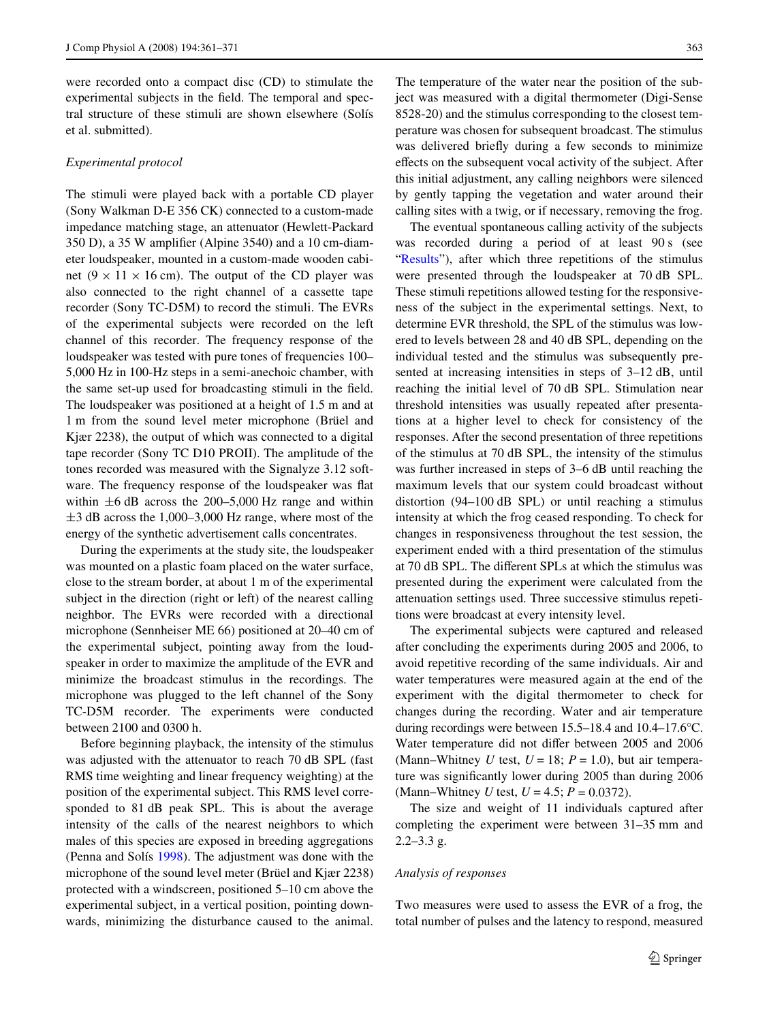were recorded onto a compact disc (CD) to stimulate the experimental subjects in the field. The temporal and spectral structure of these stimuli are shown elsewhere (Solís et al. submitted).

#### *Experimental protocol*

The stimuli were played back with a portable CD player (Sony Walkman D-E 356 CK) connected to a custom-made impedance matching stage, an attenuator (Hewlett-Packard  $350$  D), a  $35$  W amplifier (Alpine  $3540$ ) and a  $10$  cm-diameter loudspeaker, mounted in a custom-made wooden cabinet ( $9 \times 11 \times 16$  cm). The output of the CD player was also connected to the right channel of a cassette tape recorder (Sony TC-D5M) to record the stimuli. The EVRs of the experimental subjects were recorded on the left channel of this recorder. The frequency response of the loudspeaker was tested with pure tones of frequencies 100– 5,000 Hz in 100-Hz steps in a semi-anechoic chamber, with the same set-up used for broadcasting stimuli in the field. The loudspeaker was positioned at a height of 1.5 m and at 1 m from the sound level meter microphone (Brüel and Kjær 2238), the output of which was connected to a digital tape recorder (Sony TC D10 PROII). The amplitude of the tones recorded was measured with the Signalyze 3.12 software. The frequency response of the loudspeaker was flat within  $\pm 6$  dB across the 200–5,000 Hz range and within  $\pm$ 3 dB across the 1,000–3,000 Hz range, where most of the energy of the synthetic advertisement calls concentrates.

During the experiments at the study site, the loudspeaker was mounted on a plastic foam placed on the water surface, close to the stream border, at about 1 m of the experimental subject in the direction (right or left) of the nearest calling neighbor. The EVRs were recorded with a directional microphone (Sennheiser ME 66) positioned at 20–40 cm of the experimental subject, pointing away from the loudspeaker in order to maximize the amplitude of the EVR and minimize the broadcast stimulus in the recordings. The microphone was plugged to the left channel of the Sony TC-D5M recorder. The experiments were conducted between 2100 and 0300 h.

Before beginning playback, the intensity of the stimulus was adjusted with the attenuator to reach 70 dB SPL (fast RMS time weighting and linear frequency weighting) at the position of the experimental subject. This RMS level corresponded to 81 dB peak SPL. This is about the average intensity of the calls of the nearest neighbors to which males of this species are exposed in breeding aggregations (Penna and Solís [1998\)](#page-10-7). The adjustment was done with the microphone of the sound level meter (Brüel and Kjær 2238) protected with a windscreen, positioned 5–10 cm above the experimental subject, in a vertical position, pointing downwards, minimizing the disturbance caused to the animal.

The temperature of the water near the position of the subject was measured with a digital thermometer (Digi-Sense 8528-20) and the stimulus corresponding to the closest temperature was chosen for subsequent broadcast. The stimulus was delivered briefly during a few seconds to minimize effects on the subsequent vocal activity of the subject. After this initial adjustment, any calling neighbors were silenced by gently tapping the vegetation and water around their calling sites with a twig, or if necessary, removing the frog.

The eventual spontaneous calling activity of the subjects was recorded during a period of at least 90 s (see "[Results](#page-5-0)"), after which three repetitions of the stimulus were presented through the loudspeaker at 70 dB SPL. These stimuli repetitions allowed testing for the responsiveness of the subject in the experimental settings. Next, to determine EVR threshold, the SPL of the stimulus was lowered to levels between 28 and 40 dB SPL, depending on the individual tested and the stimulus was subsequently presented at increasing intensities in steps of 3–12 dB, until reaching the initial level of 70 dB SPL. Stimulation near threshold intensities was usually repeated after presentations at a higher level to check for consistency of the responses. After the second presentation of three repetitions of the stimulus at 70 dB SPL, the intensity of the stimulus was further increased in steps of 3–6 dB until reaching the maximum levels that our system could broadcast without distortion (94–100 dB SPL) or until reaching a stimulus intensity at which the frog ceased responding. To check for changes in responsiveness throughout the test session, the experiment ended with a third presentation of the stimulus at 70 dB SPL. The different SPLs at which the stimulus was presented during the experiment were calculated from the attenuation settings used. Three successive stimulus repetitions were broadcast at every intensity level.

The experimental subjects were captured and released after concluding the experiments during 2005 and 2006, to avoid repetitive recording of the same individuals. Air and water temperatures were measured again at the end of the experiment with the digital thermometer to check for changes during the recording. Water and air temperature during recordings were between 15.5–18.4 and 10.4–17.6°C. Water temperature did not differ between 2005 and 2006 (Mann–Whitney  $U$  test,  $U = 18$ ;  $P = 1.0$ ), but air temperature was significantly lower during 2005 than during 2006 (Mann–Whitney *U* test, *U* = 4.5; *P* = 0.0372).

The size and weight of 11 individuals captured after completing the experiment were between 31–35 mm and  $2.2 - 3.3$  g.

# *Analysis of responses*

Two measures were used to assess the EVR of a frog, the total number of pulses and the latency to respond, measured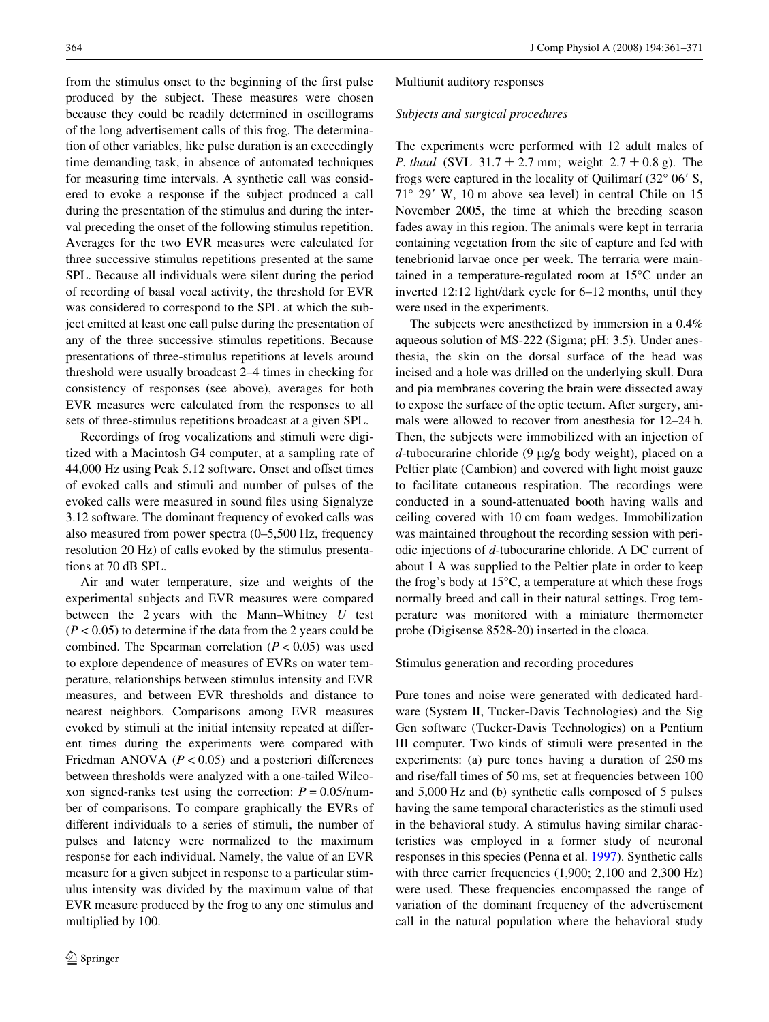from the stimulus onset to the beginning of the first pulse produced by the subject. These measures were chosen because they could be readily determined in oscillograms of the long advertisement calls of this frog. The determination of other variables, like pulse duration is an exceedingly time demanding task, in absence of automated techniques for measuring time intervals. A synthetic call was considered to evoke a response if the subject produced a call during the presentation of the stimulus and during the interval preceding the onset of the following stimulus repetition. Averages for the two EVR measures were calculated for three successive stimulus repetitions presented at the same SPL. Because all individuals were silent during the period of recording of basal vocal activity, the threshold for EVR was considered to correspond to the SPL at which the subject emitted at least one call pulse during the presentation of any of the three successive stimulus repetitions. Because presentations of three-stimulus repetitions at levels around threshold were usually broadcast 2–4 times in checking for consistency of responses (see above), averages for both EVR measures were calculated from the responses to all sets of three-stimulus repetitions broadcast at a given SPL.

Recordings of frog vocalizations and stimuli were digitized with a Macintosh G4 computer, at a sampling rate of 44,000 Hz using Peak 5.12 software. Onset and offset times of evoked calls and stimuli and number of pulses of the evoked calls were measured in sound files using Signalyze 3.12 software. The dominant frequency of evoked calls was also measured from power spectra (0–5,500 Hz, frequency resolution 20 Hz) of calls evoked by the stimulus presentations at 70 dB SPL.

Air and water temperature, size and weights of the experimental subjects and EVR measures were compared between the 2 years with the Mann–Whitney *U* test  $(P < 0.05)$  to determine if the data from the 2 years could be combined. The Spearman correlation  $(P < 0.05)$  was used to explore dependence of measures of EVRs on water temperature, relationships between stimulus intensity and EVR measures, and between EVR thresholds and distance to nearest neighbors. Comparisons among EVR measures evoked by stimuli at the initial intensity repeated at different times during the experiments were compared with Friedman ANOVA  $(P < 0.05)$  and a posteriori differences between thresholds were analyzed with a one-tailed Wilcoxon signed-ranks test using the correction:  $P = 0.05/$ number of comparisons. To compare graphically the EVRs of different individuals to a series of stimuli, the number of pulses and latency were normalized to the maximum response for each individual. Namely, the value of an EVR measure for a given subject in response to a particular stimulus intensity was divided by the maximum value of that EVR measure produced by the frog to any one stimulus and multiplied by 100.

#### Multiunit auditory responses

#### *Subjects and surgical procedures*

The experiments were performed with 12 adult males of *P. thaul* (SVL  $31.7 \pm 2.7$  mm; weight  $2.7 \pm 0.8$  g). The frogs were captured in the locality of Quilimarí  $(32^{\circ} 06' S,$  $71^\circ$  29' W, 10 m above sea level) in central Chile on 15 November 2005, the time at which the breeding season fades away in this region. The animals were kept in terraria containing vegetation from the site of capture and fed with tenebrionid larvae once per week. The terraria were maintained in a temperature-regulated room at 15°C under an inverted 12:12 light/dark cycle for 6–12 months, until they were used in the experiments.

The subjects were anesthetized by immersion in a 0.4% aqueous solution of MS-222 (Sigma; pH: 3.5). Under anesthesia, the skin on the dorsal surface of the head was incised and a hole was drilled on the underlying skull. Dura and pia membranes covering the brain were dissected away to expose the surface of the optic tectum. After surgery, animals were allowed to recover from anesthesia for 12–24 h. Then, the subjects were immobilized with an injection of  $d$ -tubocurarine chloride (9  $\mu$ g/g body weight), placed on a Peltier plate (Cambion) and covered with light moist gauze to facilitate cutaneous respiration. The recordings were conducted in a sound-attenuated booth having walls and ceiling covered with 10 cm foam wedges. Immobilization was maintained throughout the recording session with periodic injections of *d*-tubocurarine chloride. A DC current of about 1 A was supplied to the Peltier plate in order to keep the frog's body at 15°C, a temperature at which these frogs normally breed and call in their natural settings. Frog temperature was monitored with a miniature thermometer probe (Digisense 8528-20) inserted in the cloaca.

#### Stimulus generation and recording procedures

Pure tones and noise were generated with dedicated hardware (System II, Tucker-Davis Technologies) and the Sig Gen software (Tucker-Davis Technologies) on a Pentium III computer. Two kinds of stimuli were presented in the experiments: (a) pure tones having a duration of 250 ms and rise/fall times of 50 ms, set at frequencies between 100 and 5,000 Hz and (b) synthetic calls composed of 5 pulses having the same temporal characteristics as the stimuli used in the behavioral study. A stimulus having similar characteristics was employed in a former study of neuronal responses in this species (Penna et al. [1997\)](#page-10-8). Synthetic calls with three carrier frequencies  $(1,900; 2,100 \text{ and } 2,300 \text{ Hz})$ were used. These frequencies encompassed the range of variation of the dominant frequency of the advertisement call in the natural population where the behavioral study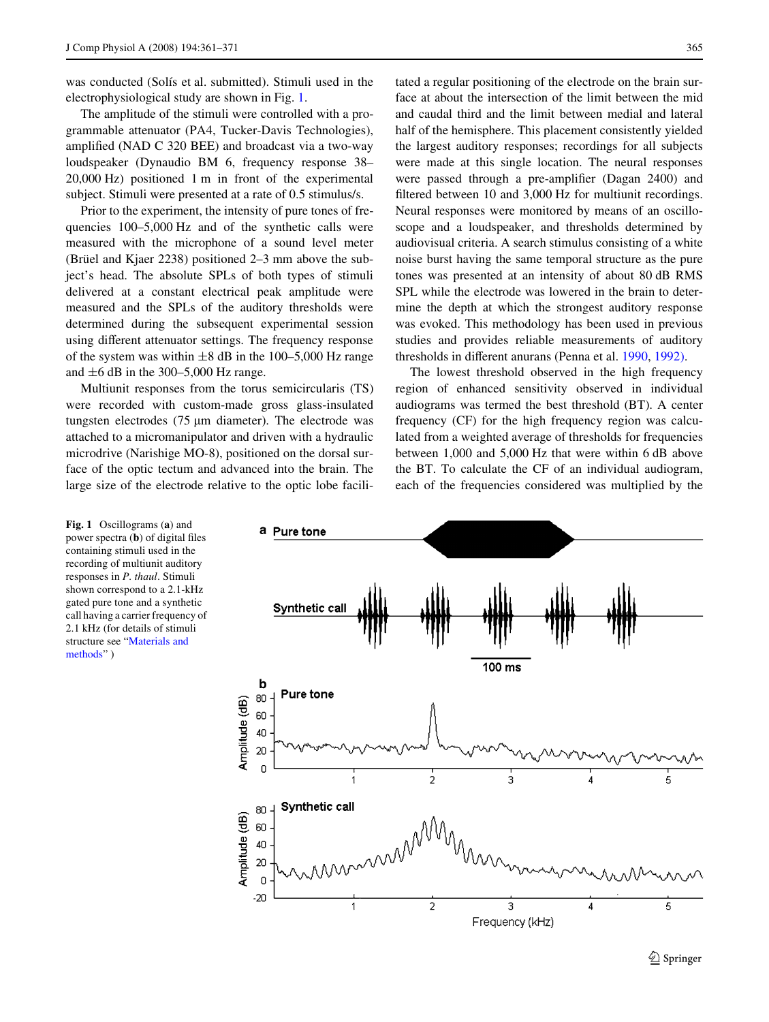was conducted (Solís et al. submitted). Stimuli used in the electrophysiological study are shown in Fig. [1.](#page-4-0)

The amplitude of the stimuli were controlled with a programmable attenuator (PA4, Tucker-Davis Technologies), amplified (NAD C 320 BEE) and broadcast via a two-way loudspeaker (Dynaudio BM 6, frequency response 38– 20,000 Hz) positioned 1 m in front of the experimental subject. Stimuli were presented at a rate of 0.5 stimulus/s.

Prior to the experiment, the intensity of pure tones of frequencies 100–5,000 Hz and of the synthetic calls were measured with the microphone of a sound level meter (Brüel and Kjaer 2238) positioned 2–3 mm above the subject's head. The absolute SPLs of both types of stimuli delivered at a constant electrical peak amplitude were measured and the SPLs of the auditory thresholds were determined during the subsequent experimental session using different attenuator settings. The frequency response of the system was within  $\pm 8$  dB in the 100–5,000 Hz range and  $\pm 6$  dB in the 300–5,000 Hz range.

Multiunit responses from the torus semicircularis (TS) were recorded with custom-made gross glass-insulated tungsten electrodes  $(75 \mu m)$  diameter). The electrode was attached to a micromanipulator and driven with a hydraulic microdrive (Narishige MO-8), positioned on the dorsal surface of the optic tectum and advanced into the brain. The large size of the electrode relative to the optic lobe facilitated a regular positioning of the electrode on the brain surface at about the intersection of the limit between the mid and caudal third and the limit between medial and lateral half of the hemisphere. This placement consistently yielded the largest auditory responses; recordings for all subjects were made at this single location. The neural responses were passed through a pre-amplifier (Dagan 2400) and filtered between 10 and 3,000 Hz for multiunit recordings. Neural responses were monitored by means of an oscilloscope and a loudspeaker, and thresholds determined by audiovisual criteria. A search stimulus consisting of a white noise burst having the same temporal structure as the pure tones was presented at an intensity of about 80 dB RMS SPL while the electrode was lowered in the brain to determine the depth at which the strongest auditory response was evoked. This methodology has been used in previous studies and provides reliable measurements of auditory thresholds in different anurans (Penna et al. [1990,](#page-10-9) [1992\).](#page-10-10)

The lowest threshold observed in the high frequency region of enhanced sensitivity observed in individual audiograms was termed the best threshold (BT). A center frequency (CF) for the high frequency region was calculated from a weighted average of thresholds for frequencies between 1,000 and 5,000 Hz that were within 6 dB above the BT. To calculate the CF of an individual audiogram, each of the frequencies considered was multiplied by the



<span id="page-4-0"></span>**Fig. 1** Oscillograms (**a**) and power spectra  $(b)$  of digital files containing stimuli used in the recording of multiunit auditory responses in *P. thaul*. Stimuli shown correspond to a 2.1-kHz gated pure tone and a synthetic call having a carrier frequency of 2.1 kHz (for details of stimuli structure see "[Materials and](#page-1-0)  [methods"](#page-1-0) )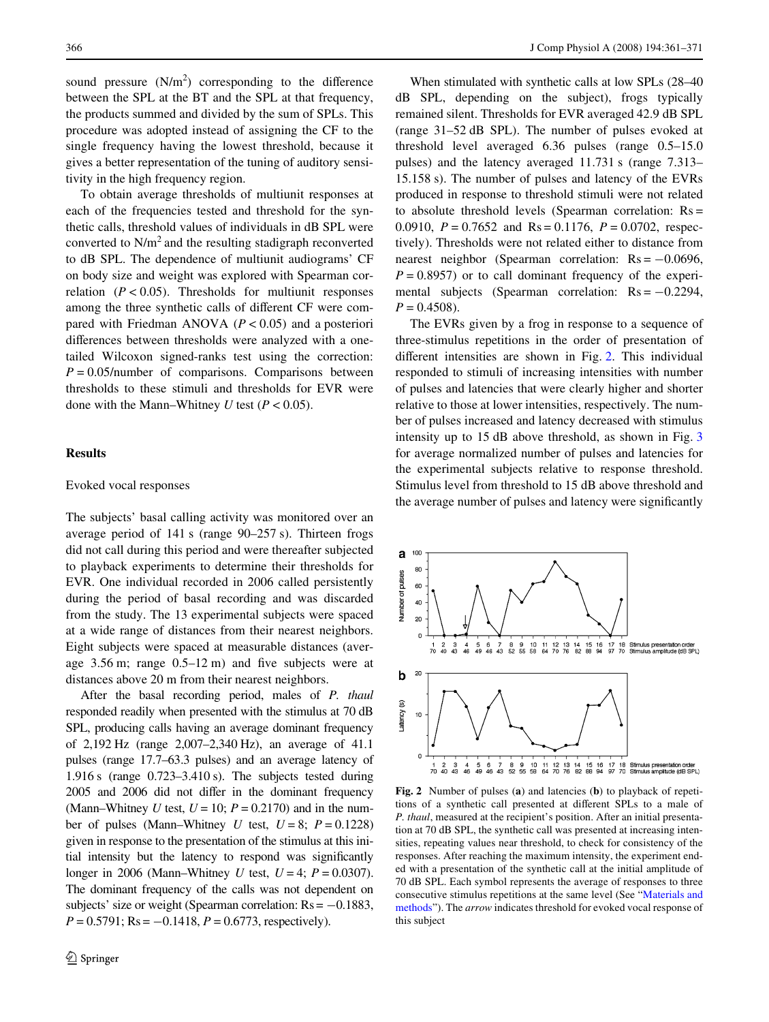sound pressure  $(N/m^2)$  corresponding to the difference between the SPL at the BT and the SPL at that frequency, the products summed and divided by the sum of SPLs. This procedure was adopted instead of assigning the CF to the single frequency having the lowest threshold, because it gives a better representation of the tuning of auditory sensitivity in the high frequency region.

To obtain average thresholds of multiunit responses at each of the frequencies tested and threshold for the synthetic calls, threshold values of individuals in dB SPL were converted to  $N/m<sup>2</sup>$  and the resulting stadigraph reconverted to dB SPL. The dependence of multiunit audiograms' CF on body size and weight was explored with Spearman correlation  $(P < 0.05)$ . Thresholds for multiunit responses among the three synthetic calls of different CF were compared with Friedman ANOVA (*P* < 0.05) and a posteriori differences between thresholds were analyzed with a onetailed Wilcoxon signed-ranks test using the correction:  $P = 0.05$ /number of comparisons. Comparisons between thresholds to these stimuli and thresholds for EVR were done with the Mann–Whitney *U* test ( $P < 0.05$ ).

# <span id="page-5-0"></span>**Results**

#### Evoked vocal responses

The subjects' basal calling activity was monitored over an average period of 141 s (range 90–257 s). Thirteen frogs did not call during this period and were thereafter subjected to playback experiments to determine their thresholds for EVR. One individual recorded in 2006 called persistently during the period of basal recording and was discarded from the study. The 13 experimental subjects were spaced at a wide range of distances from their nearest neighbors. Eight subjects were spaced at measurable distances (average 3.56 m; range  $0.5-12$  m) and five subjects were at distances above 20 m from their nearest neighbors.

After the basal recording period, males of *P. thaul* responded readily when presented with the stimulus at 70 dB SPL, producing calls having an average dominant frequency of 2,192 Hz (range 2,007–2,340 Hz), an average of 41.1 pulses (range 17.7–63.3 pulses) and an average latency of 1.916 s (range 0.723–3.410 s). The subjects tested during 2005 and 2006 did not differ in the dominant frequency (Mann–Whitney *U* test,  $U = 10$ ;  $P = 0.2170$ ) and in the number of pulses (Mann–Whitney  $U$  test,  $U = 8$ ;  $P = 0.1228$ ) given in response to the presentation of the stimulus at this initial intensity but the latency to respond was significantly longer in 2006 (Mann–Whitney *U* test, *U* = 4; *P* = 0.0307). The dominant frequency of the calls was not dependent on subjects' size or weight (Spearman correlation:  $Rs = -0.1883$ ,  $P = 0.5791$ ; Rs =  $-0.1418$ ,  $P = 0.6773$ , respectively).

When stimulated with synthetic calls at low SPLs (28–40 dB SPL, depending on the subject), frogs typically remained silent. Thresholds for EVR averaged 42.9 dB SPL (range 31–52 dB SPL). The number of pulses evoked at threshold level averaged 6.36 pulses (range 0.5–15.0 pulses) and the latency averaged 11.731 s (range 7.313– 15.158 s). The number of pulses and latency of the EVRs produced in response to threshold stimuli were not related to absolute threshold levels (Spearman correlation: Rs = 0.0910, *P* = 0.7652 and Rs = 0.1176, *P* = 0.0702, respectively). Thresholds were not related either to distance from nearest neighbor (Spearman correlation:  $Rs = -0.0696$ ,  $P = 0.8957$  or to call dominant frequency of the experimental subjects (Spearman correlation:  $Rs = -0.2294$ ,  $P = 0.4508$ .

The EVRs given by a frog in response to a sequence of three-stimulus repetitions in the order of presentation of different intensities are shown in Fig. [2.](#page-5-1) This individual responded to stimuli of increasing intensities with number of pulses and latencies that were clearly higher and shorter relative to those at lower intensities, respectively. The number of pulses increased and latency decreased with stimulus intensity up to 15 dB above threshold, as shown in Fig. [3](#page-6-0) for average normalized number of pulses and latencies for the experimental subjects relative to response threshold. Stimulus level from threshold to 15 dB above threshold and the average number of pulses and latency were significantly



<span id="page-5-1"></span>**Fig. 2** Number of pulses (**a**) and latencies (**b**) to playback of repetitions of a synthetic call presented at different SPLs to a male of *P. thaul*, measured at the recipient's position. After an initial presentation at 70 dB SPL, the synthetic call was presented at increasing intensities, repeating values near threshold, to check for consistency of the responses. After reaching the maximum intensity, the experiment ended with a presentation of the synthetic call at the initial amplitude of 70 dB SPL. Each symbol represents the average of responses to three consecutive stimulus repetitions at the same level (See "[Materials and](#page-1-0) [methods"](#page-1-0)). The *arrow* indicates threshold for evoked vocal response of this subject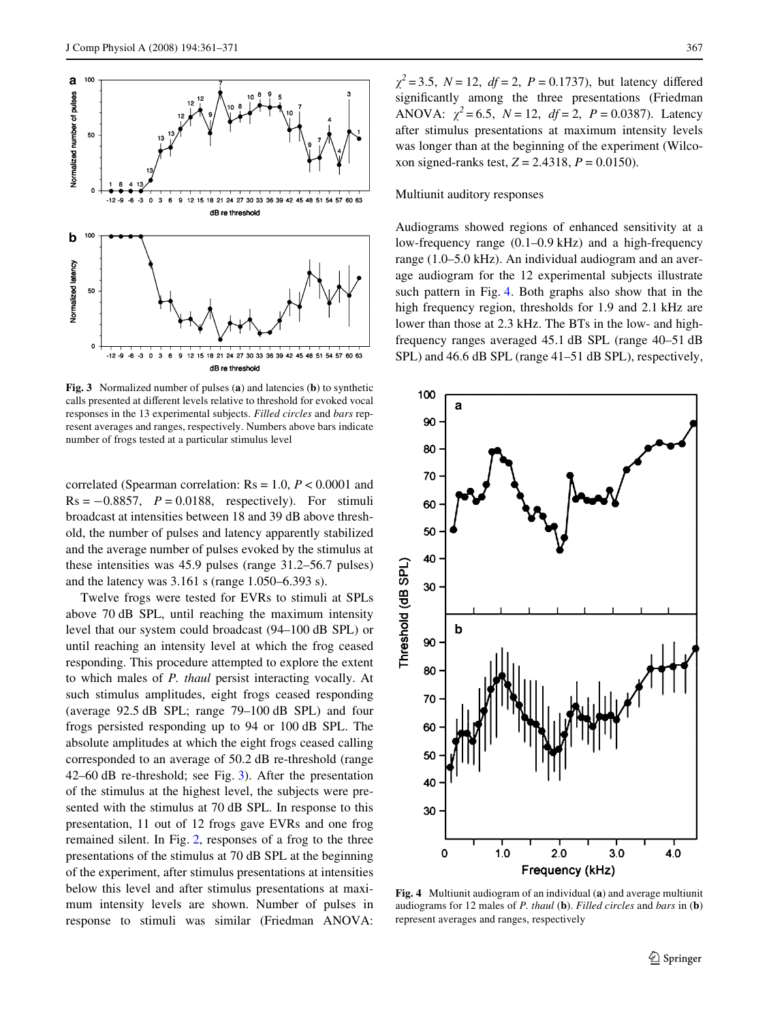

<span id="page-6-0"></span>**Fig. 3** Normalized number of pulses (**a**) and latencies (**b**) to synthetic calls presented at different levels relative to threshold for evoked vocal responses in the 13 experimental subjects. *Filled circles* and *bars* represent averages and ranges, respectively. Numbers above bars indicate number of frogs tested at a particular stimulus level

correlated (Spearman correlation: Rs = 1.0, *P* < 0.0001 and  $Rs = -0.8857$ ,  $P = 0.0188$ , respectively). For stimuli broadcast at intensities between 18 and 39 dB above threshold, the number of pulses and latency apparently stabilized and the average number of pulses evoked by the stimulus at these intensities was 45.9 pulses (range 31.2–56.7 pulses) and the latency was 3.161 s (range 1.050–6.393 s).

Twelve frogs were tested for EVRs to stimuli at SPLs above 70 dB SPL, until reaching the maximum intensity level that our system could broadcast (94–100 dB SPL) or until reaching an intensity level at which the frog ceased responding. This procedure attempted to explore the extent to which males of *P. thaul* persist interacting vocally. At such stimulus amplitudes, eight frogs ceased responding (average 92.5 dB SPL; range 79–100 dB SPL) and four frogs persisted responding up to 94 or 100 dB SPL. The absolute amplitudes at which the eight frogs ceased calling corresponded to an average of 50.2 dB re-threshold (range 42–60 dB re-threshold; see Fig. [3](#page-6-0)). After the presentation of the stimulus at the highest level, the subjects were presented with the stimulus at 70 dB SPL. In response to this presentation, 11 out of 12 frogs gave EVRs and one frog remained silent. In Fig. [2](#page-5-1), responses of a frog to the three presentations of the stimulus at 70 dB SPL at the beginning of the experiment, after stimulus presentations at intensities below this level and after stimulus presentations at maximum intensity levels are shown. Number of pulses in response to stimuli was similar (Friedman ANOVA:  $\chi^2 = 3.5$ ,  $N = 12$ ,  $df = 2$ ,  $P = 0.1737$ ), but latency differed significantly among the three presentations (Friedman ANOVA:  $\chi^2 = 6.5$ ,  $N = 12$ ,  $df = 2$ ,  $P = 0.0387$ ). Latency after stimulus presentations at maximum intensity levels was longer than at the beginning of the experiment (Wilcoxon signed-ranks test, *Z* = 2.4318, *P* = 0.0150).

#### Multiunit auditory responses

Audiograms showed regions of enhanced sensitivity at a low-frequency range (0.1–0.9 kHz) and a high-frequency range (1.0–5.0 kHz). An individual audiogram and an average audiogram for the 12 experimental subjects illustrate such pattern in Fig. [4](#page-6-1). Both graphs also show that in the high frequency region, thresholds for 1.9 and 2.1 kHz are lower than those at 2.3 kHz. The BTs in the low- and highfrequency ranges averaged 45.1 dB SPL (range 40–51 dB SPL) and 46.6 dB SPL (range 41–51 dB SPL), respectively,



<span id="page-6-1"></span>**Fig. 4** Multiunit audiogram of an individual (**a**) and average multiunit audiograms for 12 males of *P. thaul* (**b**). *Filled circles* and *bars* in (**b**) represent averages and ranges, respectively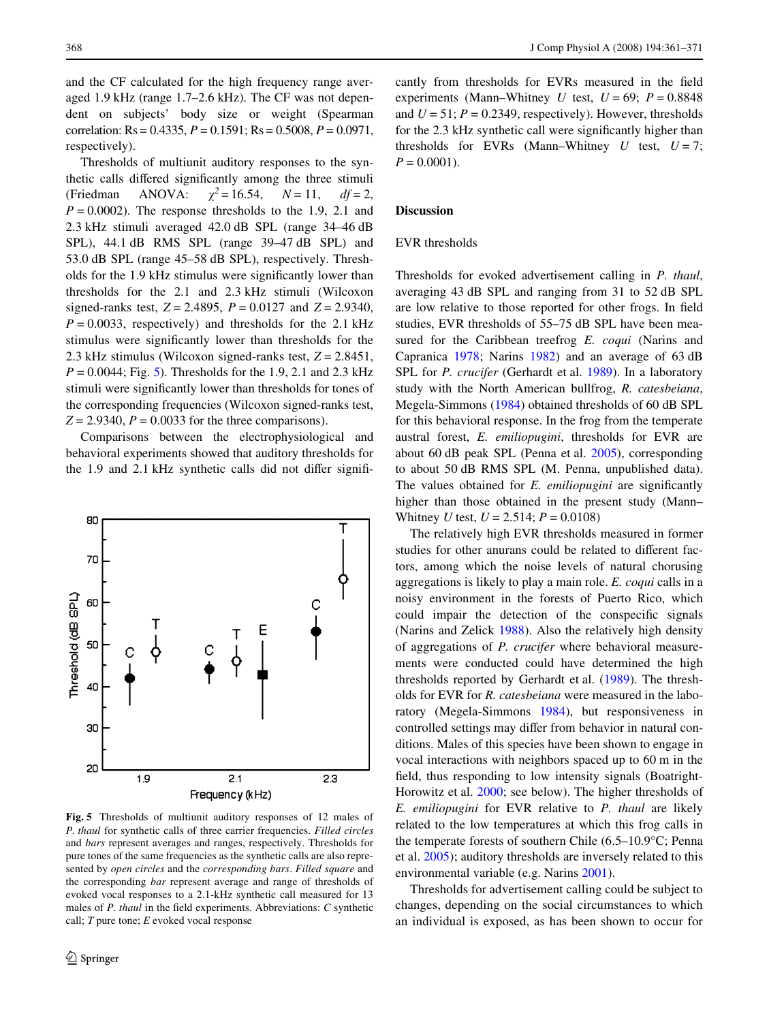and the CF calculated for the high frequency range averaged 1.9 kHz (range 1.7–2.6 kHz). The CF was not dependent on subjects' body size or weight (Spearman correlation: Rs = 0.4335, *P* = 0.1591; Rs = 0.5008, *P* = 0.0971, respectively).

Thresholds of multiunit auditory responses to the synthetic calls differed significantly among the three stimuli (Friedman ANOVA:  $\gamma^2 = 16.54$ ,  $N = 11$ ,  $df = 2$ ,  $P = 0.0002$ ). The response thresholds to the 1.9, 2.1 and 2.3 kHz stimuli averaged 42.0 dB SPL (range 34–46 dB SPL), 44.1 dB RMS SPL (range 39–47 dB SPL) and 53.0 dB SPL (range 45–58 dB SPL), respectively. Thresholds for the 1.9 kHz stimulus were significantly lower than thresholds for the 2.1 and 2.3 kHz stimuli (Wilcoxon signed-ranks test, *Z* = 2.4895, *P* = 0.0127 and *Z* = 2.9340,  $P = 0.0033$ , respectively) and thresholds for the 2.1 kHz stimulus were significantly lower than thresholds for the 2.3 kHz stimulus (Wilcoxon signed-ranks test, *Z* = 2.8451, *P* = 0.0044; Fig. [5\)](#page-7-0). Thresholds for the 1.9, 2.1 and 2.3 kHz stimuli were significantly lower than thresholds for tones of the corresponding frequencies (Wilcoxon signed-ranks test,  $Z = 2.9340$ ,  $P = 0.0033$  for the three comparisons).

Comparisons between the electrophysiological and behavioral experiments showed that auditory thresholds for the 1.9 and 2.1 kHz synthetic calls did not differ signifi-



<span id="page-7-0"></span>**Fig. 5** Thresholds of multiunit auditory responses of 12 males of *P. thaul* for synthetic calls of three carrier frequencies. *Filled circles* and *bars* represent averages and ranges, respectively. Thresholds for pure tones of the same frequencies as the synthetic calls are also represented by *open circles* and the *corresponding bars*. *Filled square* and the corresponding *bar* represent average and range of thresholds of evoked vocal responses to a 2.1-kHz synthetic call measured for 13 males of *P. thaul* in the field experiments. Abbreviations: *C* synthetic call; *T* pure tone; *E* evoked vocal response

cantly from thresholds for EVRs measured in the field experiments (Mann–Whitney *U* test,  $U = 69$ ;  $P = 0.8848$ and  $U = 51$ ;  $P = 0.2349$ , respectively). However, thresholds for the 2.3 kHz synthetic call were significantly higher than thresholds for EVRs (Mann–Whitney  $U$  test,  $U = 7$ ;  $P = 0.0001$ .

# **Discussion**

# EVR thresholds

Thresholds for evoked advertisement calling in *P. thaul*, averaging 43 dB SPL and ranging from 31 to 52 dB SPL are low relative to those reported for other frogs. In field studies, EVR thresholds of 55–75 dB SPL have been measured for the Caribbean treefrog *E. coqui* (Narins and Capranica [1978](#page-9-2); Narins [1982](#page-9-3)) and an average of 63 dB SPL for *P. crucifer* (Gerhardt et al. [1989](#page-9-4)). In a laboratory study with the North American bullfrog, *R. catesbeiana*, Megela-Simmons [\(1984](#page-9-5)) obtained thresholds of 60 dB SPL for this behavioral response. In the frog from the temperate austral forest, *E. emiliopugini*, thresholds for EVR are about 60 dB peak SPL (Penna et al. [2005\)](#page-10-1), corresponding to about 50 dB RMS SPL (M. Penna, unpublished data). The values obtained for *E. emiliopugini* are significantly higher than those obtained in the present study (Mann– Whitney *U* test, *U* = 2.514; *P* = 0.0108)

The relatively high EVR thresholds measured in former studies for other anurans could be related to different factors, among which the noise levels of natural chorusing aggregations is likely to play a main role. *E. coqui* calls in a noisy environment in the forests of Puerto Rico, which could impair the detection of the conspecific signals (Narins and Zelick [1988](#page-9-10)). Also the relatively high density of aggregations of *P. crucifer* where behavioral measurements were conducted could have determined the high thresholds reported by Gerhardt et al. ([1989\)](#page-9-4). The thresholds for EVR for *R. catesbeiana* were measured in the laboratory (Megela-Simmons [1984\)](#page-9-5), but responsiveness in controlled settings may differ from behavior in natural conditions. Males of this species have been shown to engage in vocal interactions with neighbors spaced up to 60 m in the field, thus responding to low intensity signals (Boatright-Horowitz et al. [2000;](#page-9-11) see below). The higher thresholds of *E. emiliopugini* for EVR relative to *P. thaul* are likely related to the low temperatures at which this frog calls in the temperate forests of southern Chile (6.5–10.9°C; Penna et al. [2005](#page-10-1)); auditory thresholds are inversely related to this environmental variable (e.g. Narins [2001\)](#page-9-12).

Thresholds for advertisement calling could be subject to changes, depending on the social circumstances to which an individual is exposed, as has been shown to occur for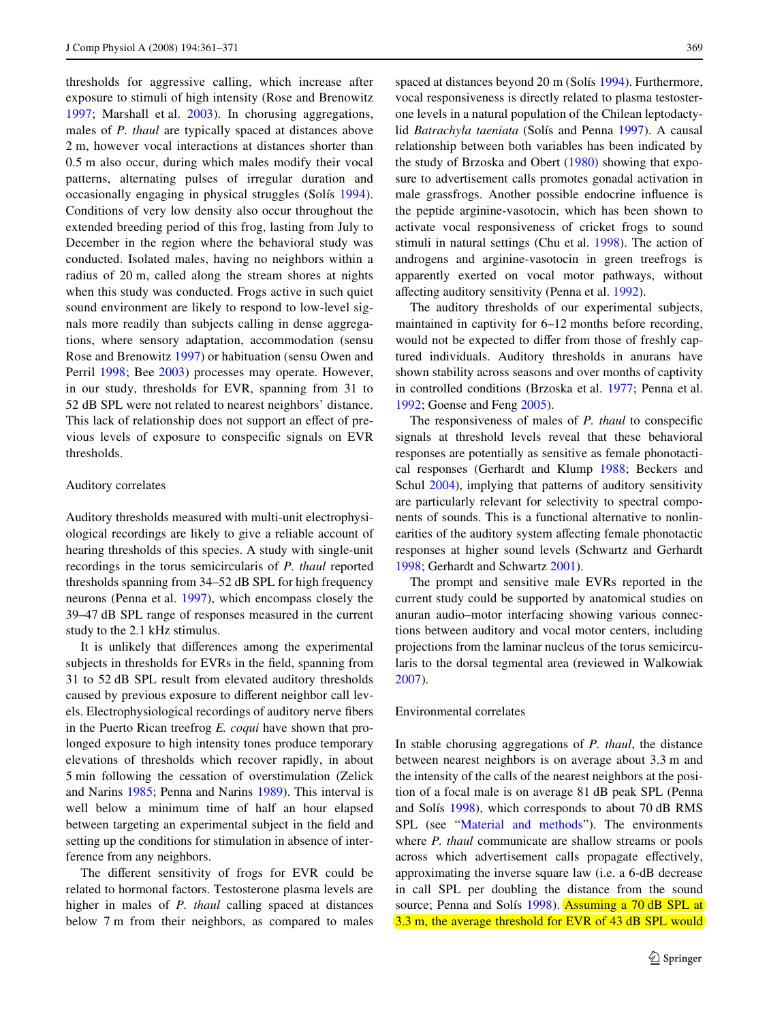thresholds for aggressive calling, which increase after exposure to stimuli of high intensity (Rose and Brenowitz [1997](#page-10-11); Marshall et al. [2003](#page-9-13)). In chorusing aggregations, males of *P. thaul* are typically spaced at distances above 2 m, however vocal interactions at distances shorter than 0.5 m also occur, during which males modify their vocal patterns, alternating pulses of irregular duration and occasionally engaging in physical struggles (Solís [1994](#page-10-6)). Conditions of very low density also occur throughout the extended breeding period of this frog, lasting from July to December in the region where the behavioral study was conducted. Isolated males, having no neighbors within a radius of 20 m, called along the stream shores at nights when this study was conducted. Frogs active in such quiet sound environment are likely to respond to low-level signals more readily than subjects calling in dense aggregations, where sensory adaptation, accommodation (sensu Rose and Brenowitz [1997](#page-10-11)) or habituation (sensu Owen and Perril [1998](#page-10-12); Bee [2003](#page-9-14)) processes may operate. However, in our study, thresholds for EVR, spanning from 31 to 52 dB SPL were not related to nearest neighbors' distance. This lack of relationship does not support an effect of previous levels of exposure to conspecific signals on EVR thresholds.

# Auditory correlates

Auditory thresholds measured with multi-unit electrophysiological recordings are likely to give a reliable account of hearing thresholds of this species. A study with single-unit recordings in the torus semicircularis of *P. thaul* reported thresholds spanning from 34–52 dB SPL for high frequency neurons (Penna et al. [1997](#page-10-8)), which encompass closely the 39–47 dB SPL range of responses measured in the current study to the 2.1 kHz stimulus.

It is unlikely that differences among the experimental subjects in thresholds for EVRs in the field, spanning from 31 to 52 dB SPL result from elevated auditory thresholds caused by previous exposure to different neighbor call levels. Electrophysiological recordings of auditory nerve fibers in the Puerto Rican treefrog *E. coqui* have shown that prolonged exposure to high intensity tones produce temporary elevations of thresholds which recover rapidly, in about 5 min following the cessation of overstimulation (Zelick and Narins [1985](#page-10-3); Penna and Narins [1989\)](#page-10-13). This interval is well below a minimum time of half an hour elapsed between targeting an experimental subject in the field and setting up the conditions for stimulation in absence of interference from any neighbors.

The different sensitivity of frogs for EVR could be related to hormonal factors. Testosterone plasma levels are higher in males of *P. thaul* calling spaced at distances below 7 m from their neighbors, as compared to males

spaced at distances beyond 20 m (Solís [1994\)](#page-10-6). Furthermore, vocal responsiveness is directly related to plasma testosterone levels in a natural population of the Chilean leptodactylid *Batrachyla taeniata* (Solís and Penna [1997\)](#page-10-14). A causal relationship between both variables has been indicated by the study of Brzoska and Obert ([1980](#page-9-15)) showing that exposure to advertisement calls promotes gonadal activation in male grassfrogs. Another possible endocrine influence is the peptide arginine-vasotocin, which has been shown to activate vocal responsiveness of cricket frogs to sound stimuli in natural settings (Chu et al. [1998\)](#page-9-16). The action of androgens and arginine-vasotocin in green treefrogs is apparently exerted on vocal motor pathways, without affecting auditory sensitivity (Penna et al. [1992\)](#page-10-10).

The auditory thresholds of our experimental subjects, maintained in captivity for 6–12 months before recording, would not be expected to differ from those of freshly captured individuals. Auditory thresholds in anurans have shown stability across seasons and over months of captivity in controlled conditions (Brzoska et al. [1977](#page-9-17); Penna et al. [1992](#page-10-10); Goense and Feng [2005](#page-9-18)).

The responsiveness of males of *P. thaul* to conspecific signals at threshold levels reveal that these behavioral responses are potentially as sensitive as female phonotactical responses (Gerhardt and Klump [1988](#page-9-6); Beckers and Schul [2004](#page-9-7)), implying that patterns of auditory sensitivity are particularly relevant for selectivity to spectral components of sounds. This is a functional alternative to nonlinearities of the auditory system affecting female phonotactic responses at higher sound levels (Schwartz and Gerhardt [1998](#page-10-4); Gerhardt and Schwartz [2001](#page-9-19)).

The prompt and sensitive male EVRs reported in the current study could be supported by anatomical studies on anuran audio–motor interfacing showing various connections between auditory and vocal motor centers, including projections from the laminar nucleus of the torus semicircularis to the dorsal tegmental area (reviewed in Walkowiak [2007](#page-10-15)).

# Environmental correlates

In stable chorusing aggregations of *P. thaul*, the distance between nearest neighbors is on average about 3.3 m and the intensity of the calls of the nearest neighbors at the position of a focal male is on average 81 dB peak SPL (Penna and Solís [1998](#page-10-7)), which corresponds to about 70 dB RMS SPL (see "[Material and methods](#page-1-0)"). The environments where *P. thaul* communicate are shallow streams or pools across which advertisement calls propagate effectively, approximating the inverse square law (i.e. a 6-dB decrease in call SPL per doubling the distance from the sound source; Penna and Solís [1998\)](#page-10-7). Assuming a 70 dB SPL at 3.3 m, the average threshold for EVR of 43 dB SPL would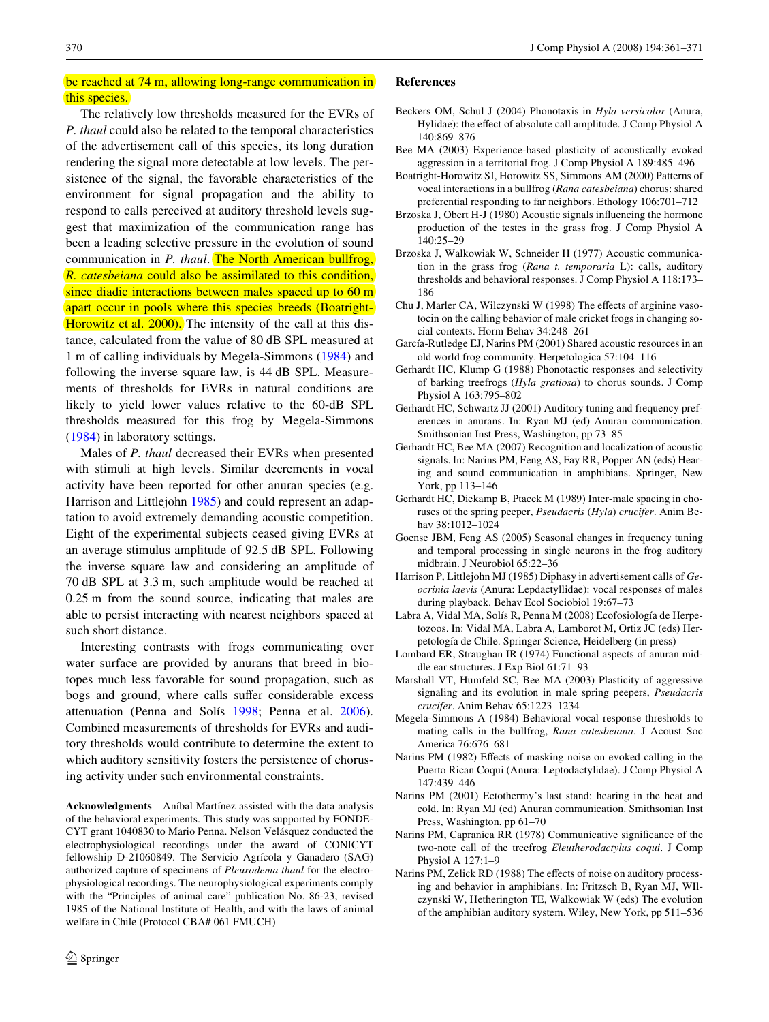# be reached at 74 m, allowing long-range communication in this species.

The relatively low thresholds measured for the EVRs of *P. thaul* could also be related to the temporal characteristics of the advertisement call of this species, its long duration rendering the signal more detectable at low levels. The persistence of the signal, the favorable characteristics of the environment for signal propagation and the ability to respond to calls perceived at auditory threshold levels suggest that maximization of the communication range has been a leading selective pressure in the evolution of sound communication in *P. thaul*. The North American bullfrog, *R. catesbeiana* could also be assimilated to this condition, since diadic interactions between males spaced up to 60 m apart occur in pools where this species breeds (Boatright-Horowitz et al. [2000\)](#page-9-11). The intensity of the call at this distance, calculated from the value of 80 dB SPL measured at 1 m of calling individuals by Megela-Simmons [\(1984](#page-9-5)) and following the inverse square law, is 44 dB SPL. Measurements of thresholds for EVRs in natural conditions are likely to yield lower values relative to the 60-dB SPL thresholds measured for this frog by Megela-Simmons [\(1984](#page-9-5)) in laboratory settings.

Males of *P. thaul* decreased their EVRs when presented with stimuli at high levels. Similar decrements in vocal activity have been reported for other anuran species (e.g. Harrison and Littlejohn [1985\)](#page-9-20) and could represent an adaptation to avoid extremely demanding acoustic competition. Eight of the experimental subjects ceased giving EVRs at an average stimulus amplitude of 92.5 dB SPL. Following the inverse square law and considering an amplitude of 70 dB SPL at 3.3 m, such amplitude would be reached at 0.25 m from the sound source, indicating that males are able to persist interacting with nearest neighbors spaced at such short distance.

Interesting contrasts with frogs communicating over water surface are provided by anurans that breed in biotopes much less favorable for sound propagation, such as bogs and ground, where calls suffer considerable excess attenuation (Penna and Solís [1998;](#page-10-7) Penna et al. [2006](#page-10-16)). Combined measurements of thresholds for EVRs and auditory thresholds would contribute to determine the extent to which auditory sensitivity fosters the persistence of chorusing activity under such environmental constraints.

**Acknowledgments** Aníbal Martínez assisted with the data analysis of the behavioral experiments. This study was supported by FONDE-CYT grant 1040830 to Mario Penna. Nelson Velásquez conducted the electrophysiological recordings under the award of CONICYT fellowship D-21060849. The Servicio Agrícola y Ganadero (SAG) authorized capture of specimens of *Pleurodema thaul* for the electrophysiological recordings. The neurophysiological experiments comply with the "Principles of animal care" publication No. 86-23, revised 1985 of the National Institute of Health, and with the laws of animal welfare in Chile (Protocol CBA# 061 FMUCH)

# **References**

- <span id="page-9-7"></span>Beckers OM, Schul J (2004) Phonotaxis in *Hyla versicolor* (Anura, Hylidae): the effect of absolute call amplitude. J Comp Physiol A 140:869–876
- <span id="page-9-14"></span>Bee MA (2003) Experience-based plasticity of acoustically evoked aggression in a territorial frog. J Comp Physiol A 189:485–496
- <span id="page-9-11"></span>Boatright-Horowitz SI, Horowitz SS, Simmons AM (2000) Patterns of vocal interactions in a bullfrog (*Rana catesbeiana*) chorus: shared preferential responding to far neighbors. Ethology 106:701–712
- <span id="page-9-15"></span>Brzoska J, Obert H-J (1980) Acoustic signals influencing the hormone production of the testes in the grass frog. J Comp Physiol A 140:25–29
- <span id="page-9-17"></span>Brzoska J, Walkowiak W, Schneider H (1977) Acoustic communication in the grass frog (*Rana t. temporaria* L): calls, auditory thresholds and behavioral responses. J Comp Physiol A 118:173– 186
- <span id="page-9-16"></span>Chu J, Marler CA, Wilczynski W (1998) The effects of arginine vasotocin on the calling behavior of male cricket frogs in changing social contexts. Horm Behav 34:248–261
- <span id="page-9-1"></span>García-Rutledge EJ, Narins PM (2001) Shared acoustic resources in an old world frog community. Herpetologica 57:104–116
- <span id="page-9-6"></span>Gerhardt HC, Klump G (1988) Phonotactic responses and selectivity of barking treefrogs (*Hyla gratiosa*) to chorus sounds. J Comp Physiol A 163:795–802
- <span id="page-9-19"></span>Gerhardt HC, Schwartz JJ (2001) Auditory tuning and frequency preferences in anurans. In: Ryan MJ (ed) Anuran communication. Smithsonian Inst Press, Washington, pp 73–85
- <span id="page-9-0"></span>Gerhardt HC, Bee MA (2007) Recognition and localization of acoustic signals. In: Narins PM, Feng AS, Fay RR, Popper AN (eds) Hearing and sound communication in amphibians. Springer, New York, pp 113–146
- <span id="page-9-4"></span>Gerhardt HC, Diekamp B, Ptacek M (1989) Inter-male spacing in choruses of the spring peeper, *Pseudacris* (*Hyla*) *crucifer*. Anim Behav 38:1012–1024
- <span id="page-9-18"></span>Goense JBM, Feng AS (2005) Seasonal changes in frequency tuning and temporal processing in single neurons in the frog auditory midbrain. J Neurobiol 65:22–36
- <span id="page-9-20"></span>Harrison P, Littlejohn MJ (1985) Diphasy in advertisement calls of *Geocrinia laevis* (Anura: Lepdactyllidae): vocal responses of males during playback. Behav Ecol Sociobiol 19:67–73
- <span id="page-9-9"></span>Labra A, Vidal MA, Solís R, Penna M (2008) Ecofosiología de Herpetozoos. In: Vidal MA, Labra A, Lamborot M, Ortiz JC (eds) Herpetología de Chile. Springer Science, Heidelberg (in press)
- <span id="page-9-8"></span>Lombard ER, Straughan IR (1974) Functional aspects of anuran middle ear structures. J Exp Biol 61:71–93
- <span id="page-9-13"></span>Marshall VT, Humfeld SC, Bee MA (2003) Plasticity of aggressive signaling and its evolution in male spring peepers, *Pseudacris crucifer*. Anim Behav 65:1223–1234
- <span id="page-9-5"></span>Megela-Simmons A (1984) Behavioral vocal response thresholds to mating calls in the bullfrog, *Rana catesbeiana*. J Acoust Soc America 76:676–681
- <span id="page-9-3"></span>Narins PM (1982) Effects of masking noise on evoked calling in the Puerto Rican Coqui (Anura: Leptodactylidae). J Comp Physiol A 147:439–446
- <span id="page-9-12"></span>Narins PM (2001) Ectothermy's last stand: hearing in the heat and cold. In: Ryan MJ (ed) Anuran communication. Smithsonian Inst Press, Washington, pp 61–70
- <span id="page-9-2"></span>Narins PM, Capranica RR (1978) Communicative significance of the two-note call of the treefrog *Eleutherodactylus coqui*. J Comp Physiol A 127:1–9
- <span id="page-9-10"></span>Narins PM, Zelick RD (1988) The effects of noise on auditory processing and behavior in amphibians. In: Fritzsch B, Ryan MJ, WIlczynski W, Hetherington TE, Walkowiak W (eds) The evolution of the amphibian auditory system. Wiley, New York, pp 511–536